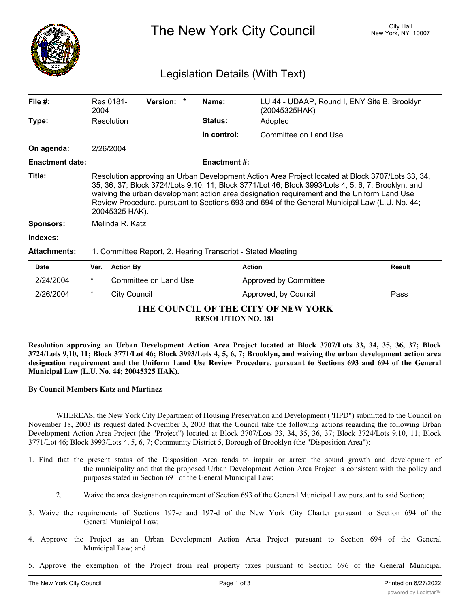

The New York City Council New York, NY 10007

## Legislation Details (With Text)

| File $#$ :             | Res 0181-<br>2004                                                                                                                                                                                                                                                                                                                                                                                                       | <b>Version:</b> |  | Name:               | LU 44 - UDAAP, Round I, ENY Site B, Brooklyn<br>(20045325HAK) |        |  |
|------------------------|-------------------------------------------------------------------------------------------------------------------------------------------------------------------------------------------------------------------------------------------------------------------------------------------------------------------------------------------------------------------------------------------------------------------------|-----------------|--|---------------------|---------------------------------------------------------------|--------|--|
| Type:                  | Resolution                                                                                                                                                                                                                                                                                                                                                                                                              |                 |  | <b>Status:</b>      | Adopted                                                       |        |  |
|                        |                                                                                                                                                                                                                                                                                                                                                                                                                         |                 |  | In control:         | Committee on Land Use                                         |        |  |
| On agenda:             | 2/26/2004                                                                                                                                                                                                                                                                                                                                                                                                               |                 |  |                     |                                                               |        |  |
| <b>Enactment date:</b> |                                                                                                                                                                                                                                                                                                                                                                                                                         |                 |  | <b>Enactment #:</b> |                                                               |        |  |
| Title:                 | Resolution approving an Urban Development Action Area Project located at Block 3707/Lots 33, 34,<br>35, 36, 37; Block 3724/Lots 9,10, 11; Block 3771/Lot 46; Block 3993/Lots 4, 5, 6, 7; Brooklyn, and<br>waiving the urban development action area designation requirement and the Uniform Land Use<br>Review Procedure, pursuant to Sections 693 and 694 of the General Municipal Law (L.U. No. 44;<br>20045325 HAK). |                 |  |                     |                                                               |        |  |
| <b>Sponsors:</b>       | Melinda R. Katz                                                                                                                                                                                                                                                                                                                                                                                                         |                 |  |                     |                                                               |        |  |
| Indexes:               |                                                                                                                                                                                                                                                                                                                                                                                                                         |                 |  |                     |                                                               |        |  |
| <b>Attachments:</b>    | 1. Committee Report, 2. Hearing Transcript - Stated Meeting                                                                                                                                                                                                                                                                                                                                                             |                 |  |                     |                                                               |        |  |
| <b>Date</b>            | <b>Action By</b><br>Ver.                                                                                                                                                                                                                                                                                                                                                                                                |                 |  | <b>Action</b>       |                                                               | Result |  |

| <b>Date</b>                         | Ver.    | <b>Action By</b>      | <b>Action</b>         | <b>Result</b> |  |  |  |  |  |
|-------------------------------------|---------|-----------------------|-----------------------|---------------|--|--|--|--|--|
| 2/24/2004                           | $\star$ | Committee on Land Use | Approved by Committee |               |  |  |  |  |  |
| 2/26/2004                           |         | City Council          | Approved, by Council  | Pass          |  |  |  |  |  |
| THE COUNCIL OF THE CITY OF NEW YORK |         |                       |                       |               |  |  |  |  |  |
| <b>RESOLUTION NO. 181</b>           |         |                       |                       |               |  |  |  |  |  |

Resolution approving an Urban Development Action Area Project located at Block 3707/Lots 33, 34, 35, 36, 37; Block 3724/Lots 9,10, 11; Block 3771/Lot 46; Block 3993/Lots 4, 5, 6, 7; Brooklyn, and waiving the urban development action area designation requirement and the Uniform Land Use Review Procedure, pursuant to Sections 693 and 694 of the General **Municipal Law (L.U. No. 44; 20045325 HAK).**

## **By Council Members Katz and Martinez**

WHEREAS, the New York City Department of Housing Preservation and Development ("HPD") submitted to the Council on November 18, 2003 its request dated November 3, 2003 that the Council take the following actions regarding the following Urban Development Action Area Project (the "Project") located at Block 3707/Lots 33, 34, 35, 36, 37; Block 3724/Lots 9,10, 11; Block 3771/Lot 46; Block 3993/Lots 4, 5, 6, 7; Community District 5, Borough of Brooklyn (the "Disposition Area"):

- 1. Find that the present status of the Disposition Area tends to impair or arrest the sound growth and development of the municipality and that the proposed Urban Development Action Area Project is consistent with the policy and purposes stated in Section 691 of the General Municipal Law;
	- 2. Waive the area designation requirement of Section 693 of the General Municipal Law pursuant to said Section;
- 3. Waive the requirements of Sections 197-c and 197-d of the New York City Charter pursuant to Section 694 of the General Municipal Law;
- 4. Approve the Project as an Urban Development Action Area Project pursuant to Section 694 of the General Municipal Law; and
- 5. Approve the exemption of the Project from real property taxes pursuant to Section 696 of the General Municipal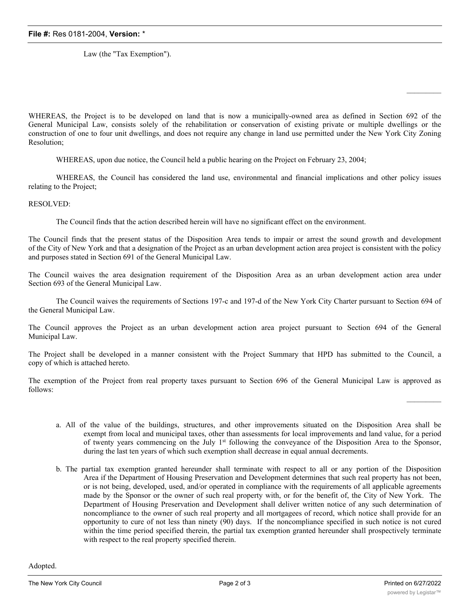Law (the "Tax Exemption").

WHEREAS, the Project is to be developed on land that is now a municipally-owned area as defined in Section 692 of the General Municipal Law, consists solely of the rehabilitation or conservation of existing private or multiple dwellings or the construction of one to four unit dwellings, and does not require any change in land use permitted under the New York City Zoning Resolution;

WHEREAS, upon due notice, the Council held a public hearing on the Project on February 23, 2004;

WHEREAS, the Council has considered the land use, environmental and financial implications and other policy issues relating to the Project;

RESOLVED:

The Council finds that the action described herein will have no significant effect on the environment.

The Council finds that the present status of the Disposition Area tends to impair or arrest the sound growth and development of the City of New York and that a designation of the Project as an urban development action area project is consistent with the policy and purposes stated in Section 691 of the General Municipal Law.

The Council waives the area designation requirement of the Disposition Area as an urban development action area under Section 693 of the General Municipal Law.

The Council waives the requirements of Sections 197-c and 197-d of the New York City Charter pursuant to Section 694 of the General Municipal Law.

The Council approves the Project as an urban development action area project pursuant to Section 694 of the General Municipal Law.

The Project shall be developed in a manner consistent with the Project Summary that HPD has submitted to the Council, a copy of which is attached hereto.

The exemption of the Project from real property taxes pursuant to Section 696 of the General Municipal Law is approved as follows:

- a. All of the value of the buildings, structures, and other improvements situated on the Disposition Area shall be exempt from local and municipal taxes, other than assessments for local improvements and land value, for a period of twenty years commencing on the July 1<sup>st</sup> following the conveyance of the Disposition Area to the Sponsor, during the last ten years of which such exemption shall decrease in equal annual decrements.
- b. The partial tax exemption granted hereunder shall terminate with respect to all or any portion of the Disposition Area if the Department of Housing Preservation and Development determines that such real property has not been, or is not being, developed, used, and/or operated in compliance with the requirements of all applicable agreements made by the Sponsor or the owner of such real property with, or for the benefit of, the City of New York. The Department of Housing Preservation and Development shall deliver written notice of any such determination of noncompliance to the owner of such real property and all mortgagees of record, which notice shall provide for an opportunity to cure of not less than ninety (90) days. If the noncompliance specified in such notice is not cured within the time period specified therein, the partial tax exemption granted hereunder shall prospectively terminate with respect to the real property specified therein.

Adopted.

 $\frac{1}{2}$